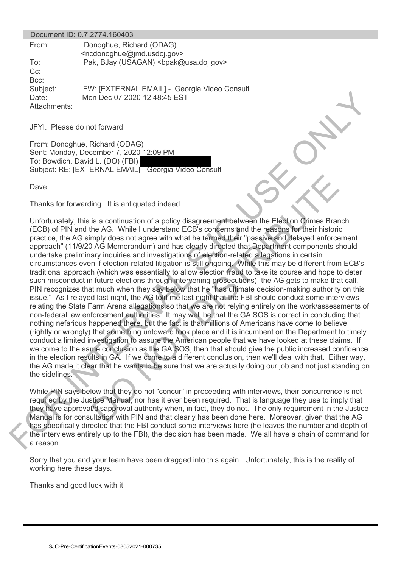|                                   | Document ID: 0.7.2774.160403                                                        |
|-----------------------------------|-------------------------------------------------------------------------------------|
| From:                             | Donoghue, Richard (ODAG)<br><ricdonoghue@jmd.usdoj.gov></ricdonoghue@jmd.usdoj.gov> |
| To:<br>$Cc$ :<br>$Bcc$ :          | Pak, BJay (USAGAN)<br>bpak@usa.doj.gov>                                             |
| Subject:<br>Date:<br>Attachments: | FW: [EXTERNAL EMAIL] - Georgia Video Consult<br>Mon Dec 07 2020 12:48:45 EST        |

JFYI. Please do not forward.

From: Donoghue, Richard (ODAG) Sent: Monday, December 7, 2020 12:09 PM To: Bowdich, David L. (DO) (FBI) Subject: RE: [EXTERNAL EMAIL] - Georgia Video Consult

Dave,

Thanks for forwarding. It is antiquated indeed.

Unfortunately, this is a continuation of a policy disagreement between the Election Crimes Branch (ECB) of PIN and the AG. While I understand ECB's concerns and the reasons for their historic practice, the AG simply does not agree with what he termed their "passive and delayed enforcement approach" (11/9/20 AG Memorandum) and has clearly directed that Department components should undertake preliminary inquiries and investigations of election-related allegations in certain circumstances even if election-related litigation is still ongoing. While this may be different from ECB's traditional approach (which was essentially to allow election fraud to take its course and hope to deter such misconduct in future elections through intervening prosecutions), the AG gets to make that call. PIN recognizes that much when they say below that he "has ultimate decision-making authority on this issue." As I relayed last night, the AG told me last night that the FBI should conduct some interviews relating the State Farm Arena allegations so that we are not relying entirely on the work/assessments of non-federal law enforcement authorities. It may well be that the GA SOS is correct in concluding that nothing nefarious happened there, but the fact is that millions of Americans have come to believe (rightly or wrongly) that something untoward took place and it is incumbent on the Department to timely conduct a limited investigation to assure the American people that we have looked at these claims. If we come to the same conclusion as the GA SOS, then that should give the public increased confidence in the election results in GA. If we come to a different conclusion, then we'll deal with that. Either way, the AG made it clear that he wants to be sure that we are actually doing our job and not just standing on the sidelines. Characteristics and the Constrainer of the Constrainer of the Results and the Results are the Results and the Results and the Results and the Results are the Results and the Results and the Results are the Results and the ing. It is antiquated indeed.<br>
is a continuation of a policy disagreement between the Election Orimes Brame MG. While I understand ECB's concerns and the reasons for their historic mphy does not agree with what he termed t

While PIN says below that they do not "concur" in proceeding with interviews, their concurrence is not required by the Justice Manual, nor has it ever been required. That is language they use to imply that they have approval/disapproval authority when, in fact, they do not. The only requirement in the Justice Manual is for consultation with PIN and that clearly has been done here. Moreover, given that the AG has specifically directed that the FBI conduct some interviews here (he leaves the number and depth of the interviews entirely up to the FBI), the decision has been made. We all have a chain of command for a reason.

Sorry that you and your team have been dragged into this again. Unfortunately, this is the reality of working here these days.

Thanks and good luck with it.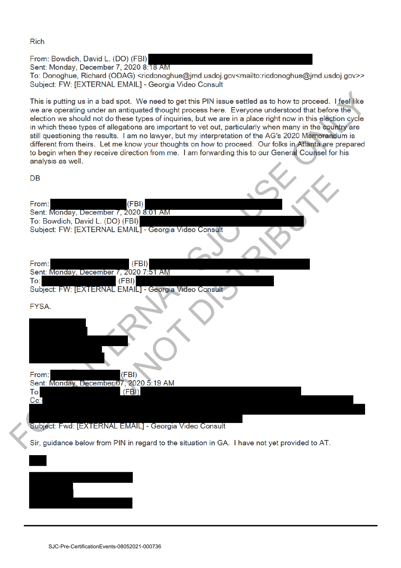**Rich** 

From: Bowdich, David L. (DO) (FBI)

Sent: Monday, December 7, 2020 8:18 AM

To: Donoghue, Richard (ODAG) <ricdonoghue@jmd.usdoj.gov<mailto:ricdonoghue@jmd.usdoj.gov>> Subject: FW: [EXTERNAL EMAIL] - Georgia Video Consult

| This is putting us in a bad spot. We need to get this PIN issue settled as to how to proceed. I feel like<br>we are operating under an antiquated thought process here. Everyone understood that before the<br>election we should not do these types of inquiries, but we are in a place right now in this election cycle<br>in which these types of allegations are important to vet out, particularly when many in the country are<br>still questioning the results. I am no lawyer, but my interpretation of the AG's 2020 Memorandum is<br>different from theirs. Let me know your thoughts on how to proceed. Our folks in Atlanta are prepared<br>to begin when they receive direction from me. I am forwarding this to our General Counsel for his<br>analysis as well. |
|--------------------------------------------------------------------------------------------------------------------------------------------------------------------------------------------------------------------------------------------------------------------------------------------------------------------------------------------------------------------------------------------------------------------------------------------------------------------------------------------------------------------------------------------------------------------------------------------------------------------------------------------------------------------------------------------------------------------------------------------------------------------------------|
| DB                                                                                                                                                                                                                                                                                                                                                                                                                                                                                                                                                                                                                                                                                                                                                                             |
| (FBI)<br>From:<br>Sent: Monday, December 7, 2020 8:01 AM<br>To: Bowdich, David L. (DO) (FBI)<br>Subject: FW: [EXTERNAL EMAIL] - Georgia Video Consult                                                                                                                                                                                                                                                                                                                                                                                                                                                                                                                                                                                                                          |
| From:<br>(FBI)<br>Sent: Monday, December 7, 2020 7:51 AM<br>To:<br>(FBI)<br>Subject: FW: [EXTERNAL EMAIL] - Georgia Video Consult                                                                                                                                                                                                                                                                                                                                                                                                                                                                                                                                                                                                                                              |
| FYSA.                                                                                                                                                                                                                                                                                                                                                                                                                                                                                                                                                                                                                                                                                                                                                                          |
| (FBI)<br>From:<br>Sent: Monday, December 07, 2020 5:19 AM                                                                                                                                                                                                                                                                                                                                                                                                                                                                                                                                                                                                                                                                                                                      |
| To<br>(FBI)<br>$Cc$ :<br>Subject: Fwd: [EXTERNAL EMAIL] - Georgia Video Consult                                                                                                                                                                                                                                                                                                                                                                                                                                                                                                                                                                                                                                                                                                |
| Sir, guidance below from PIN in regard to the situation in GA. I have not yet provided to AT.                                                                                                                                                                                                                                                                                                                                                                                                                                                                                                                                                                                                                                                                                  |